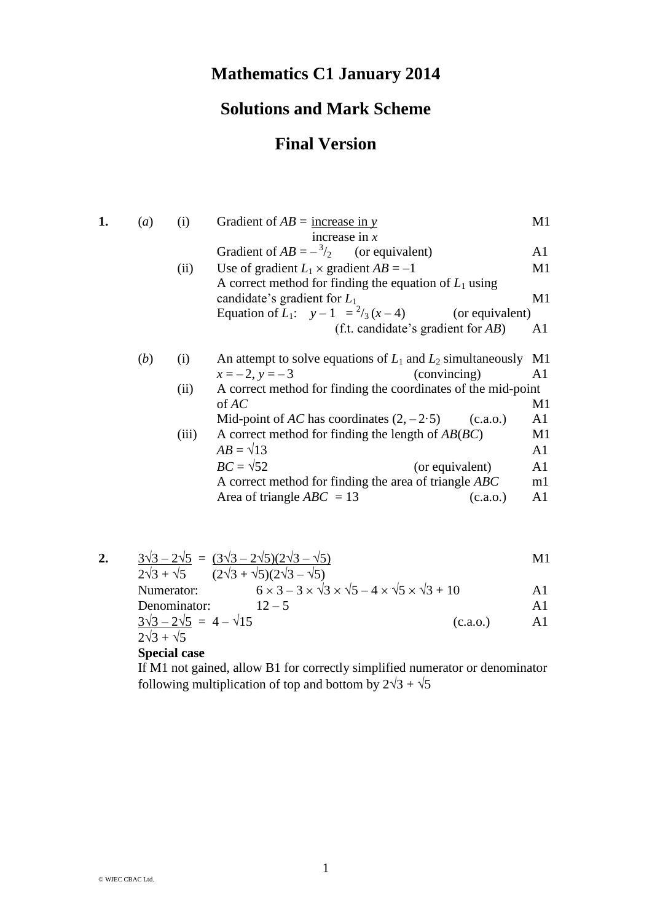## **Mathematics C1 January 2014**

## **Solutions and Mark Scheme**

## **Final Version**

| 1. | (a) | (i)        | Gradient of $AB =$ increase in y<br>increase in $x$                                                                                           | M1             |
|----|-----|------------|-----------------------------------------------------------------------------------------------------------------------------------------------|----------------|
|    |     |            | Gradient of $AB = -\frac{3}{2}$ (or equivalent)                                                                                               | A1             |
|    |     | (ii)       | Use of gradient $L_1 \times$ gradient $AB = -1$                                                                                               | M1             |
|    |     |            | A correct method for finding the equation of $L_1$ using<br>candidate's gradient for $L_1$                                                    | M1             |
|    |     |            | Equation of $L_1$ : $y-1 = \frac{2}{3}(x-4)$<br>(or equivalent)                                                                               |                |
|    |     |            | (f.t. candidate's gradient for $AB$ )                                                                                                         | A <sub>1</sub> |
|    | (b) | (i)        | An attempt to solve equations of $L_1$ and $L_2$ simultaneously                                                                               | M1             |
|    |     |            | $x = -2, y = -3$<br>(convincing)                                                                                                              | A1             |
|    |     | (ii)       | A correct method for finding the coordinates of the mid-point                                                                                 |                |
|    |     |            | of AC                                                                                                                                         | M1             |
|    |     |            | Mid-point of AC has coordinates $(2, -2.5)$<br>(c.a.0.)                                                                                       | A1             |
|    |     | (iii)      | A correct method for finding the length of $AB(BC)$                                                                                           | M1             |
|    |     |            | $AB = \sqrt{13}$                                                                                                                              | A1             |
|    |     |            | $BC = \sqrt{52}$<br>(or equivalent)                                                                                                           | A <sub>1</sub> |
|    |     |            | A correct method for finding the area of triangle ABC                                                                                         | m1             |
|    |     |            | Area of triangle $ABC = 13$<br>(c.a.o.)                                                                                                       | A1             |
|    |     |            |                                                                                                                                               |                |
|    |     |            |                                                                                                                                               |                |
| 2. |     |            | $\frac{3\sqrt{3}-2\sqrt{5}}{2\sqrt{3}+\sqrt{5}} = \frac{(3\sqrt{3}-2\sqrt{5})(2\sqrt{3}-\sqrt{5})}{(2\sqrt{3}+\sqrt{5})(2\sqrt{3}-\sqrt{5})}$ | M1             |
|    |     | Numerator: | $6 \times 3 - 3 \times \sqrt{3} \times \sqrt{5} - 4 \times \sqrt{5} \times \sqrt{3} + 10$                                                     | A1             |
|    |     |            | $\sim$ $\sim$ $\sim$                                                                                                                          | $\mathbf{A}$ 1 |

Denominator:  $12-5$  A1  $\frac{3\sqrt{3}-2\sqrt{5}}{4} = 4 - \sqrt{15}$  (c.a.o.) A1

 $2\sqrt{3} + \sqrt{5}$ 

## **Special case**

If M1 not gained, allow B1 for correctly simplified numerator or denominator following multiplication of top and bottom by  $2\sqrt{3} + \sqrt{5}$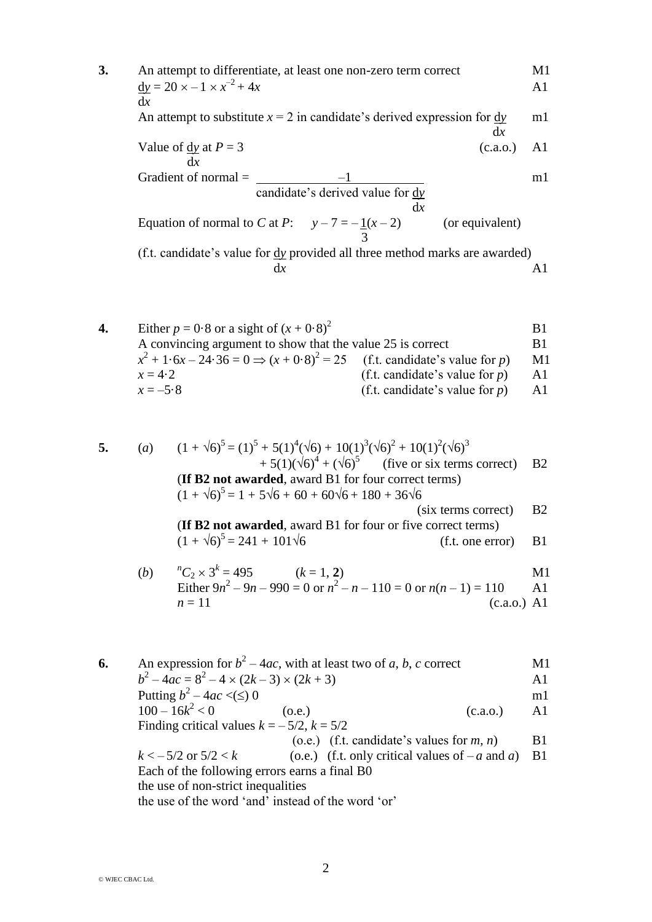3. An attempt to differentiate, at least one non-zero term correct  
\n
$$
\frac{dy}{dx} = 20 \times -1 \times x^{-2} + 4x
$$
\n
$$
\frac{dx}{dx}
$$
\nAn attempt to substitute  $x = 2$  in candidate's derived expression for  $\frac{dy}{dx}$  in 1  
\nValue of  $\frac{dy}{dx}$  at  $P = 3$  (c.a.o.) A1  
\nGradient of normal =  $\frac{-1}{\text{candidate's derived value for } \frac{dy}{dx}}$  in 1  
\nEquation of normal to C at P:  $y - 7 = -\frac{1}{x} - 2$  (or equivalent)  
\n $\frac{dx}{dx}$   
\n(f.t. candidate's value for  $\frac{dy}{dx}$  provided all three method marks are awarded)  
\n $\frac{dx}{dx}$ 

**4.** Either  $p = 0.8$  or a sight of  $(x + 0.8)^2$ **B1** A convincing argument to show that the value 25 is correct B1  $x^2 + 1.6x - 24.36 = 0 \implies (x + 0.8)^2$ (f.t. candidate's value for  $p$ ) M1  $x = 4.2$  (f.t. candidate's value for *p*) A1<br> $x = -5.8$  (f.t. candidate's value for *p*) A1  $(f.t. candidate's value for *p*)$  A1

**5.** (*a*) (1 + 6)<sup>5</sup> = (1)<sup>5</sup> + 5(1)<sup>4</sup> (6) + 10(1)<sup>3</sup> (6)<sup>2</sup> + 10(1) 2 (6)<sup>3</sup> + 5(1)(6)<sup>4</sup> + (6)<sup>5</sup> (five or six terms correct) B2 (**If B2 not awarded**, award B1 for four correct terms) (1 + 6) 5 = 1 + 56 + 60 + 606 + 180 + 366 (six terms correct) B2 (**If B2 not awarded**, award B1 for four or five correct terms) (1 + 6)<sup>5</sup> = 241 + 1016 (f.t. one error) B1

(b) 
$$
{}^{n}C_{2} \times 3^{k} = 495
$$
 (k = 1, 2)  
\nEither  $9n^{2} - 9n - 990 = 0$  or  $n^{2} - n - 110 = 0$  or  $n(n - 1) = 110$  A1  
\n $n = 11$  (c.a.o.) A1

**6.** An expression for  $b^2 - 4ac$ , with at least two of *a*, *b*, *c* correct M1  $b^2 - 4ac = 8^2 - 4 \times (2k - 3) \times (2k + 3)$  A1 Putting  $b^2 - 4ac \lt ( \leq )$  0  $100 - 16k^2$  $(0.e.)$  (c.a.o.) A1 Finding critical values  $k = -5/2$ ,  $k = 5/2$ (o.e.) (f.t. candidate's values for  $m, n$ ) B1  $k < -5/2$  or  $5/2 < k$  (o.e.) (f.t. only critical values of  $-a$  and *a*) B1 Each of the following errors earns a final B0 the use of non-strict inequalities the use of the word 'and' instead of the word 'or'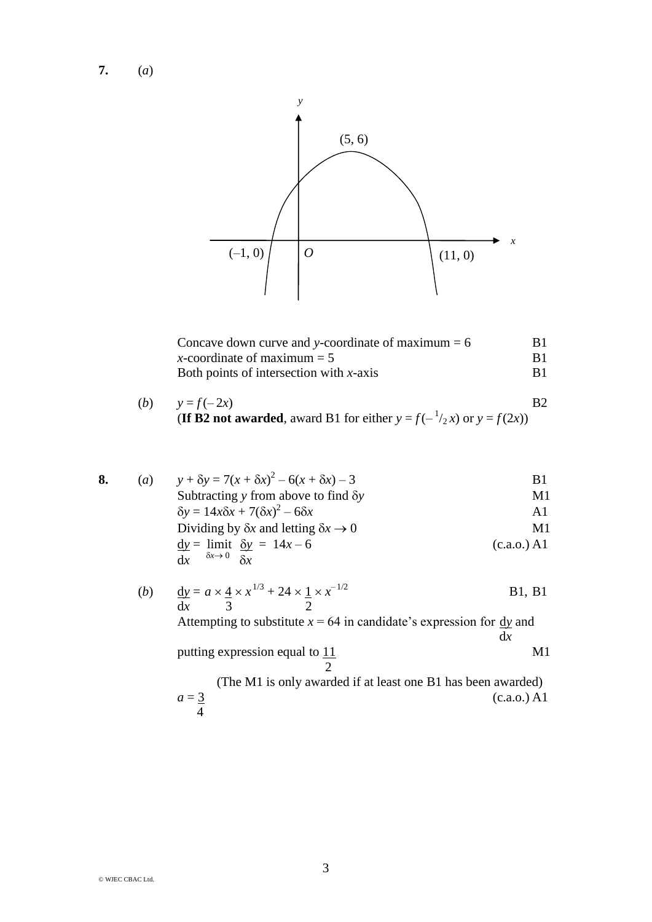**7.** (*a*)



| Concave down curve and y-coordinate of maximum $= 6$ | B1 |
|------------------------------------------------------|----|
| x-coordinate of maximum $= 5$                        | B1 |
| Both points of intersection with $x$ -axis           | B1 |

(b) 
$$
y = f(-2x)
$$
 B2  
(If B2 not awarded, award B1 for either  $y = f(-\frac{1}{2}x)$  or  $y = f(2x)$ )

8. (a) 
$$
y + \delta y = 7(x + \delta x)^2 - 6(x + \delta x) - 3
$$
  
\nSubtracting y from above to find  $\delta y$   
\n $\delta y = 14x\delta x + 7(\delta x)^2 - 6\delta x$   
\nDividing by  $\delta x$  and letting  $\delta x \rightarrow 0$   
\n $\frac{dy}{dx} = \lim_{\delta x \to 0} \frac{\delta y}{\delta x} = 14x - 6$   
\n(b) (c.a.o.) A1

(b) 
$$
\frac{dy}{dx} = a \times \frac{4}{3} \times x^{1/3} + 24 \times \frac{1}{2} \times x^{-1/2}
$$
 B1, B1  
Attempting to substitute  $x = 64$  in candidate's expression for  $\frac{dy}{dx}$  and  $\frac{dy}{dx}$   
putting expression equal to  $\frac{11}{2}$ 

(The M1 is only awarded if at least one B1 has been awarded)  $(c.a.o.)$  A1  $a = \frac{3}{4}$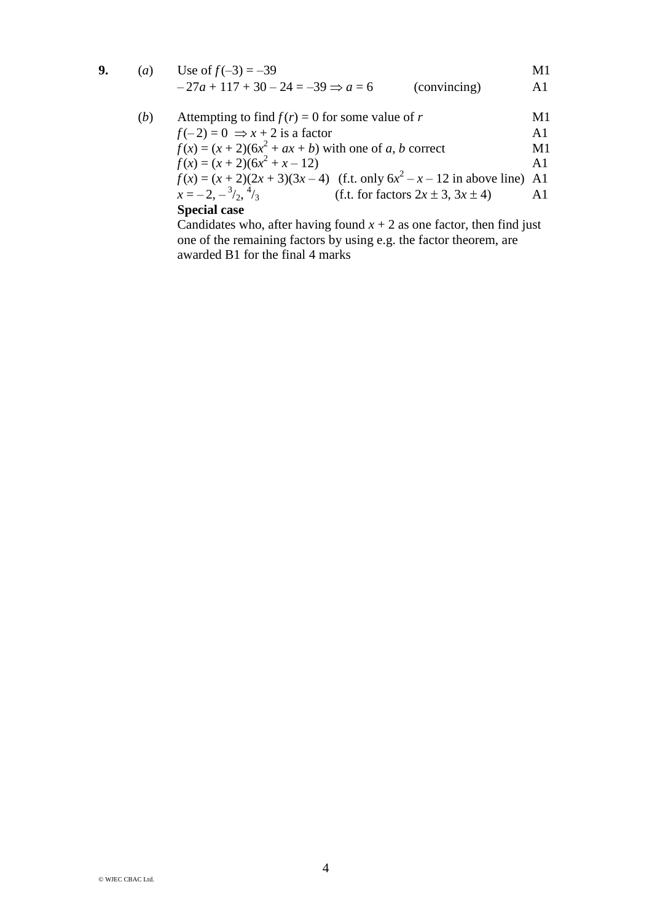|  | ( <i>a</i> ) Use of $f(-3) = -39$    |              | M1 |
|--|--------------------------------------|--------------|----|
|  | $-27a+117+30-24=-39 \Rightarrow a=6$ | (convincing) | A1 |

(b) Attempting to find 
$$
f(r) = 0
$$
 for some value of r  
\n $f(-2) = 0 \Rightarrow x + 2$  is a factor  
\n $f(x) = (x + 2)(6x^2 + ax + b)$  with one of a, b correct  
\n $f(x) = (x + 2)(6x^2 + x - 12)$   
\n $f(x) = (x + 2)(2x + 3)(3x - 4)$  (f.t. only  $6x^2 - x - 12$  in above line) A1  
\n $x = -2, -\frac{3}{2}, \frac{4}{3}$  (f.t. for factors  $2x \pm 3, 3x \pm 4$ ) A1  
\nSpecial case

Candidates who, after having found  $x + 2$  as one factor, then find just one of the remaining factors by using e.g. the factor theorem, are awarded B1 for the final 4 marks